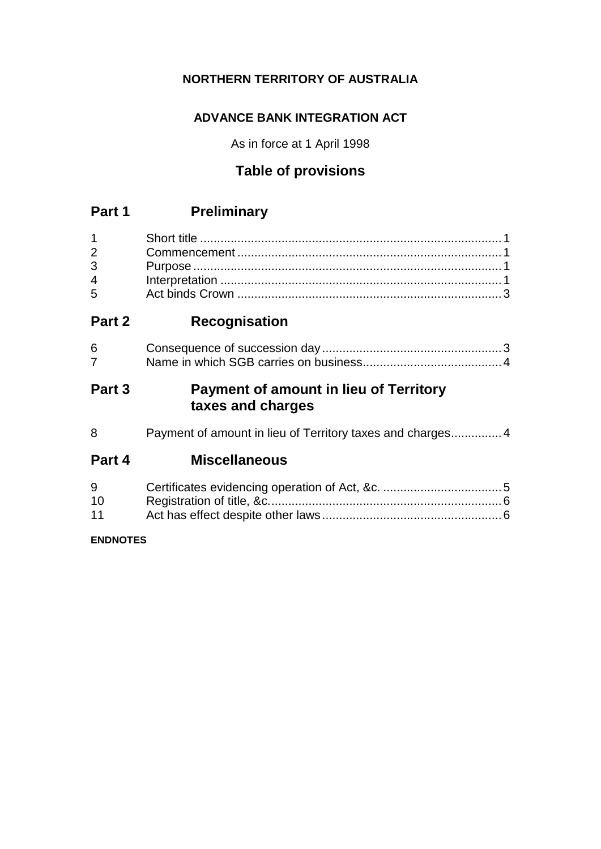## **NORTHERN TERRITORY OF AUSTRALIA**

## **ADVANCE BANK INTEGRATION ACT**

As in force at 1 April 1998

# **Table of provisions**

# **Part 1 Preliminary**

| $2^{\sim}$     |  |
|----------------|--|
| $3^{\circ}$    |  |
| $\overline{4}$ |  |
| $5^{\circ}$    |  |

# **Part 2 Recognisation**

## **Part 3 Payment of amount in lieu of Territory taxes and charges**

8 Payment of amount in lieu of Territory taxes and charges................4

# **Part 4 Miscellaneous**

| 9  |  |
|----|--|
| 10 |  |
| 11 |  |

## **ENDNOTES**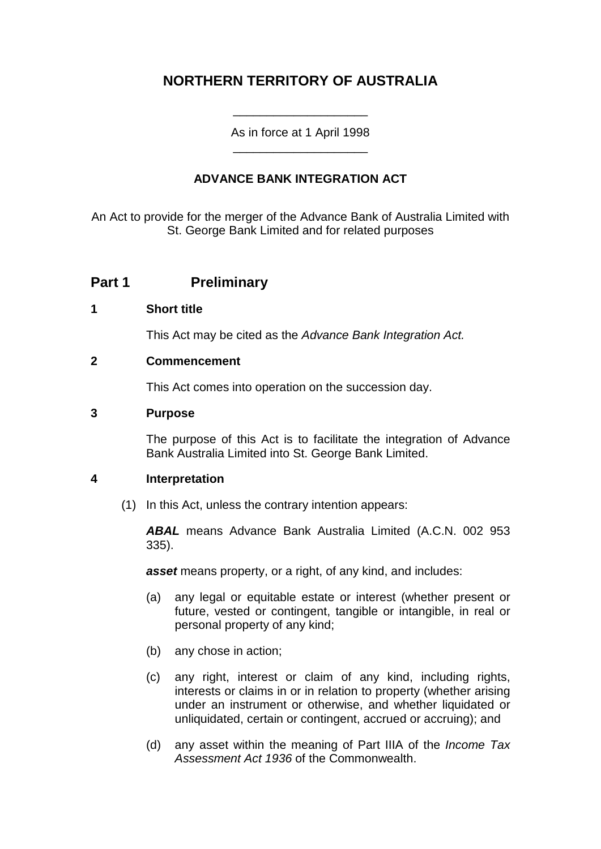# **NORTHERN TERRITORY OF AUSTRALIA**

As in force at 1 April 1998 \_\_\_\_\_\_\_\_\_\_\_\_\_\_\_\_\_\_\_\_

\_\_\_\_\_\_\_\_\_\_\_\_\_\_\_\_\_\_\_\_

### **ADVANCE BANK INTEGRATION ACT**

An Act to provide for the merger of the Advance Bank of Australia Limited with St. George Bank Limited and for related purposes

## **Part 1 Preliminary**

#### **1 Short title**

This Act may be cited as the *Advance Bank Integration Act.*

#### **2 Commencement**

This Act comes into operation on the succession day.

#### **3 Purpose**

The purpose of this Act is to facilitate the integration of Advance Bank Australia Limited into St. George Bank Limited.

#### **4 Interpretation**

(1) In this Act, unless the contrary intention appears:

*ABAL* means Advance Bank Australia Limited (A.C.N. 002 953 335).

*asset* means property, or a right, of any kind, and includes:

- (a) any legal or equitable estate or interest (whether present or future, vested or contingent, tangible or intangible, in real or personal property of any kind;
- (b) any chose in action;
- (c) any right, interest or claim of any kind, including rights, interests or claims in or in relation to property (whether arising under an instrument or otherwise, and whether liquidated or unliquidated, certain or contingent, accrued or accruing); and
- (d) any asset within the meaning of Part IIIA of the *Income Tax Assessment Act 1936* of the Commonwealth.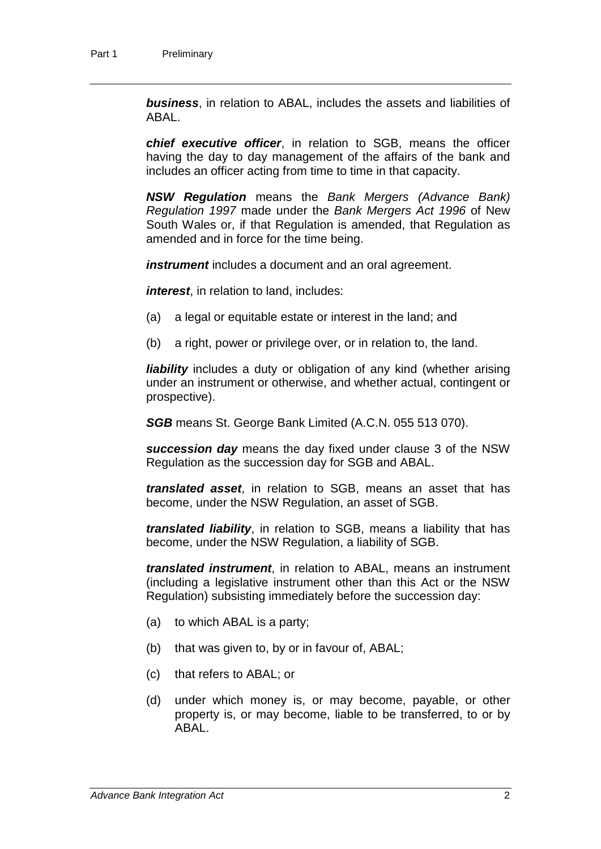*business*, in relation to ABAL, includes the assets and liabilities of ABAL.

*chief executive officer*, in relation to SGB, means the officer having the day to day management of the affairs of the bank and includes an officer acting from time to time in that capacity.

*NSW Regulation* means the *Bank Mergers (Advance Bank) Regulation 1997* made under the *Bank Mergers Act 1996* of New South Wales or, if that Regulation is amended, that Regulation as amended and in force for the time being.

*instrument* includes a document and an oral agreement.

*interest*, in relation to land, includes:

- (a) a legal or equitable estate or interest in the land; and
- (b) a right, power or privilege over, or in relation to, the land.

*liability* includes a duty or obligation of any kind (whether arising under an instrument or otherwise, and whether actual, contingent or prospective).

*SGB* means St. George Bank Limited (A.C.N. 055 513 070).

*succession day* means the day fixed under clause 3 of the NSW Regulation as the succession day for SGB and ABAL.

*translated asset*, in relation to SGB, means an asset that has become, under the NSW Regulation, an asset of SGB.

*translated liability*, in relation to SGB, means a liability that has become, under the NSW Regulation, a liability of SGB.

*translated instrument*, in relation to ABAL, means an instrument (including a legislative instrument other than this Act or the NSW Regulation) subsisting immediately before the succession day:

- (a) to which ABAL is a party;
- (b) that was given to, by or in favour of, ABAL;
- (c) that refers to ABAL; or
- (d) under which money is, or may become, payable, or other property is, or may become, liable to be transferred, to or by ABAL.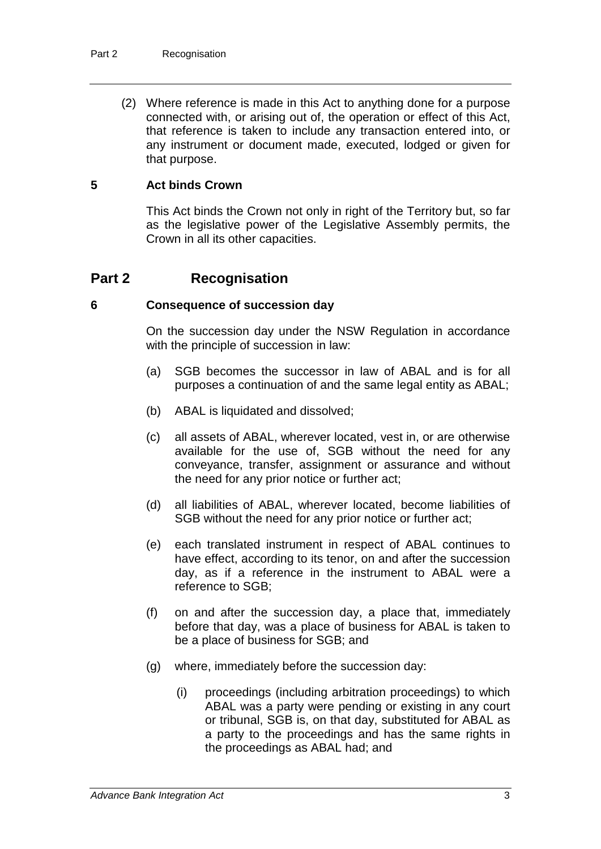(2) Where reference is made in this Act to anything done for a purpose connected with, or arising out of, the operation or effect of this Act, that reference is taken to include any transaction entered into, or any instrument or document made, executed, lodged or given for that purpose.

#### **5 Act binds Crown**

This Act binds the Crown not only in right of the Territory but, so far as the legislative power of the Legislative Assembly permits, the Crown in all its other capacities.

## **Part 2 Recognisation**

#### **6 Consequence of succession day**

On the succession day under the NSW Regulation in accordance with the principle of succession in law:

- (a) SGB becomes the successor in law of ABAL and is for all purposes a continuation of and the same legal entity as ABAL;
- (b) ABAL is liquidated and dissolved;
- (c) all assets of ABAL, wherever located, vest in, or are otherwise available for the use of, SGB without the need for any conveyance, transfer, assignment or assurance and without the need for any prior notice or further act;
- (d) all liabilities of ABAL, wherever located, become liabilities of SGB without the need for any prior notice or further act;
- (e) each translated instrument in respect of ABAL continues to have effect, according to its tenor, on and after the succession day, as if a reference in the instrument to ABAL were a reference to SGB;
- (f) on and after the succession day, a place that, immediately before that day, was a place of business for ABAL is taken to be a place of business for SGB; and
- (g) where, immediately before the succession day:
	- (i) proceedings (including arbitration proceedings) to which ABAL was a party were pending or existing in any court or tribunal, SGB is, on that day, substituted for ABAL as a party to the proceedings and has the same rights in the proceedings as ABAL had; and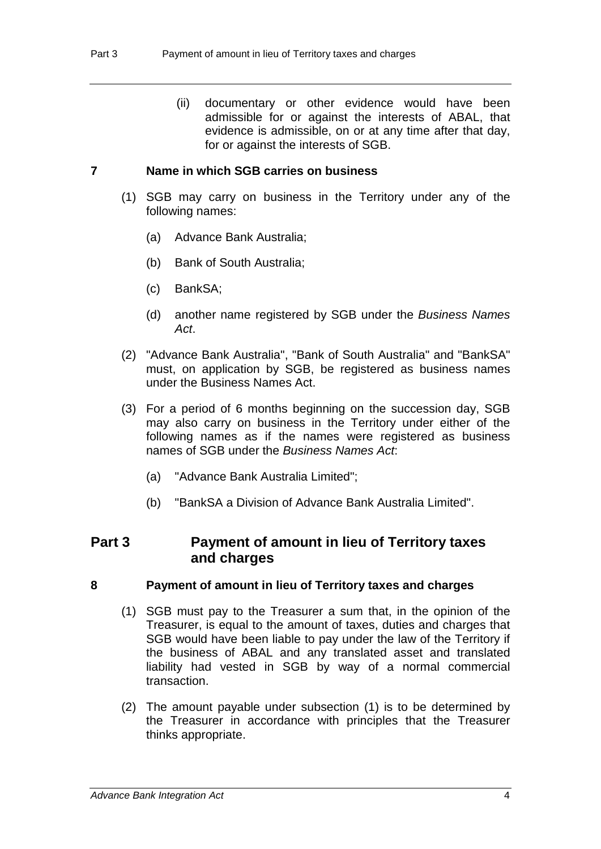(ii) documentary or other evidence would have been admissible for or against the interests of ABAL, that evidence is admissible, on or at any time after that day, for or against the interests of SGB.

#### **7 Name in which SGB carries on business**

- (1) SGB may carry on business in the Territory under any of the following names:
	- (a) Advance Bank Australia;
	- (b) Bank of South Australia;
	- (c) BankSA;
	- (d) another name registered by SGB under the *Business Names Act*.
- (2) "Advance Bank Australia", "Bank of South Australia" and "BankSA" must, on application by SGB, be registered as business names under the Business Names Act.
- (3) For a period of 6 months beginning on the succession day, SGB may also carry on business in the Territory under either of the following names as if the names were registered as business names of SGB under the *Business Names Act*:
	- (a) "Advance Bank Australia Limited";
	- (b) "BankSA a Division of Advance Bank Australia Limited".

## **Part 3 Payment of amount in lieu of Territory taxes and charges**

#### **8 Payment of amount in lieu of Territory taxes and charges**

- (1) SGB must pay to the Treasurer a sum that, in the opinion of the Treasurer, is equal to the amount of taxes, duties and charges that SGB would have been liable to pay under the law of the Territory if the business of ABAL and any translated asset and translated liability had vested in SGB by way of a normal commercial transaction.
- (2) The amount payable under subsection (1) is to be determined by the Treasurer in accordance with principles that the Treasurer thinks appropriate.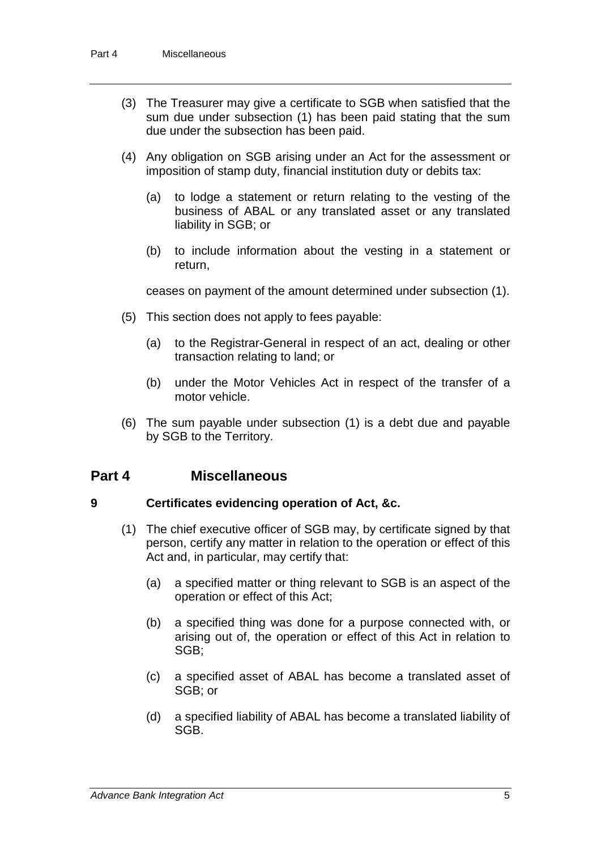- (3) The Treasurer may give a certificate to SGB when satisfied that the sum due under subsection (1) has been paid stating that the sum due under the subsection has been paid.
- (4) Any obligation on SGB arising under an Act for the assessment or imposition of stamp duty, financial institution duty or debits tax:
	- (a) to lodge a statement or return relating to the vesting of the business of ABAL or any translated asset or any translated liability in SGB; or
	- (b) to include information about the vesting in a statement or return,

ceases on payment of the amount determined under subsection (1).

- (5) This section does not apply to fees payable:
	- (a) to the Registrar-General in respect of an act, dealing or other transaction relating to land; or
	- (b) under the Motor Vehicles Act in respect of the transfer of a motor vehicle.
- (6) The sum payable under subsection (1) is a debt due and payable by SGB to the Territory.

## **Part 4 Miscellaneous**

#### **9 Certificates evidencing operation of Act, &c.**

- (1) The chief executive officer of SGB may, by certificate signed by that person, certify any matter in relation to the operation or effect of this Act and, in particular, may certify that:
	- (a) a specified matter or thing relevant to SGB is an aspect of the operation or effect of this Act;
	- (b) a specified thing was done for a purpose connected with, or arising out of, the operation or effect of this Act in relation to SGB;
	- (c) a specified asset of ABAL has become a translated asset of SGB; or
	- (d) a specified liability of ABAL has become a translated liability of SGB.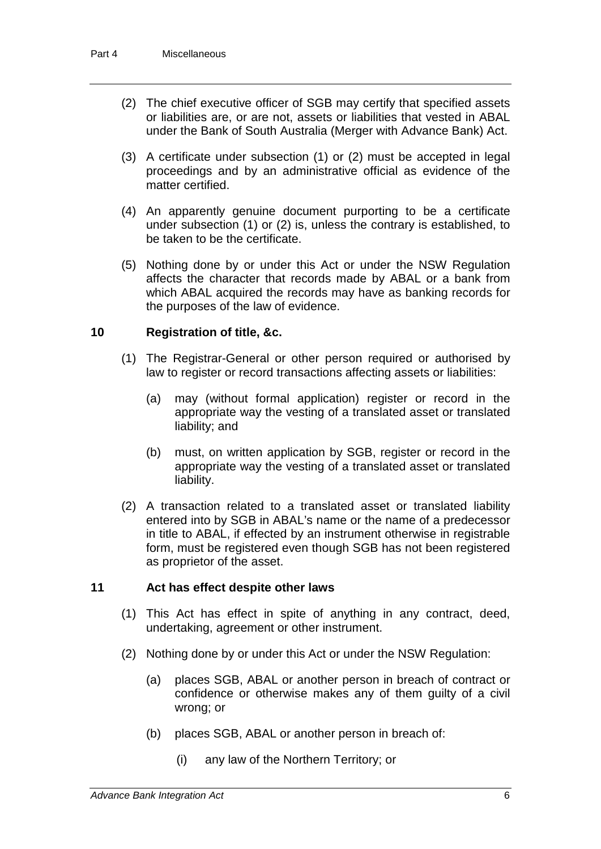- (2) The chief executive officer of SGB may certify that specified assets or liabilities are, or are not, assets or liabilities that vested in ABAL under the Bank of South Australia (Merger with Advance Bank) Act.
- (3) A certificate under subsection (1) or (2) must be accepted in legal proceedings and by an administrative official as evidence of the matter certified.
- (4) An apparently genuine document purporting to be a certificate under subsection (1) or (2) is, unless the contrary is established, to be taken to be the certificate.
- (5) Nothing done by or under this Act or under the NSW Regulation affects the character that records made by ABAL or a bank from which ABAL acquired the records may have as banking records for the purposes of the law of evidence.

#### **10 Registration of title, &c.**

- (1) The Registrar-General or other person required or authorised by law to register or record transactions affecting assets or liabilities:
	- (a) may (without formal application) register or record in the appropriate way the vesting of a translated asset or translated liability; and
	- (b) must, on written application by SGB, register or record in the appropriate way the vesting of a translated asset or translated liability.
- (2) A transaction related to a translated asset or translated liability entered into by SGB in ABAL's name or the name of a predecessor in title to ABAL, if effected by an instrument otherwise in registrable form, must be registered even though SGB has not been registered as proprietor of the asset.

#### **11 Act has effect despite other laws**

- (1) This Act has effect in spite of anything in any contract, deed, undertaking, agreement or other instrument.
- (2) Nothing done by or under this Act or under the NSW Regulation:
	- (a) places SGB, ABAL or another person in breach of contract or confidence or otherwise makes any of them guilty of a civil wrong; or
	- (b) places SGB, ABAL or another person in breach of:
		- (i) any law of the Northern Territory; or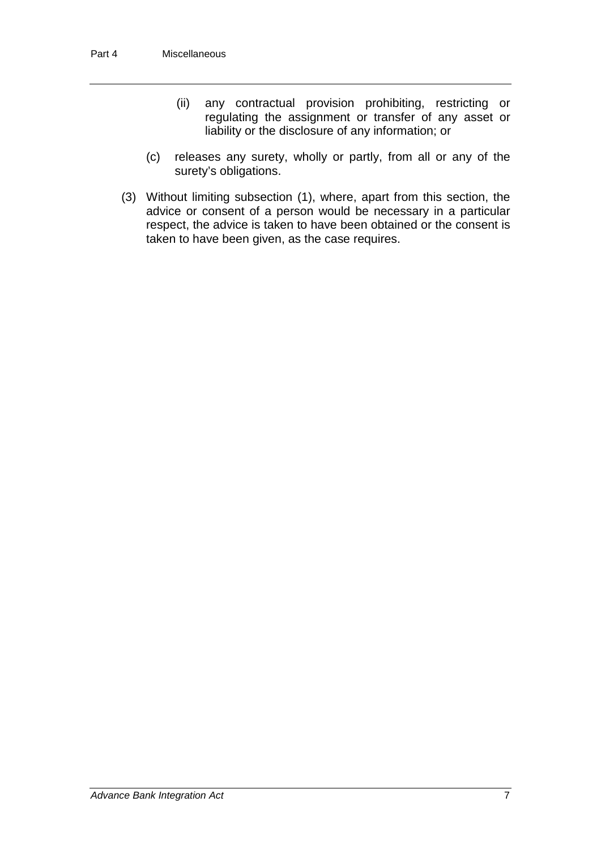- (ii) any contractual provision prohibiting, restricting or regulating the assignment or transfer of any asset or liability or the disclosure of any information; or
- (c) releases any surety, wholly or partly, from all or any of the surety's obligations.
- (3) Without limiting subsection (1), where, apart from this section, the advice or consent of a person would be necessary in a particular respect, the advice is taken to have been obtained or the consent is taken to have been given, as the case requires.